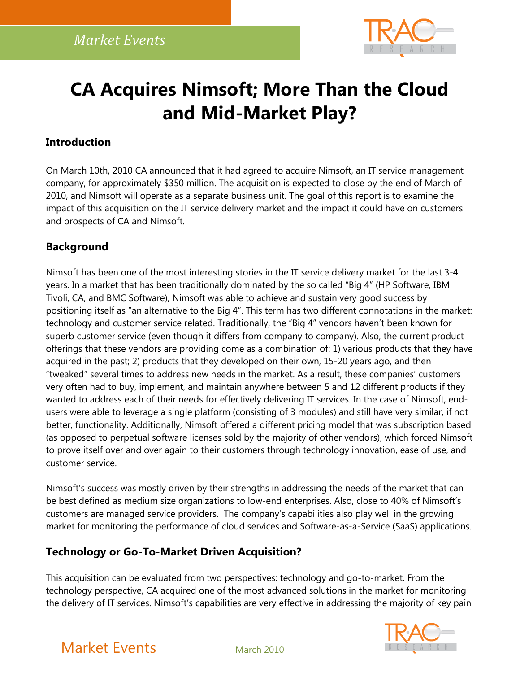

# **CA Acquires Nimsoft; More Than the Cloud and Mid-Market Play?**

#### **Introduction**

On March 10th, 2010 CA announced that it had agreed to acquire Nimsoft, an IT service management company, for approximately \$350 million. The acquisition is expected to close by the end of March of 2010, and Nimsoft will operate as a separate business unit. The goal of this report is to examine the impact of this acquisition on the IT service delivery market and the impact it could have on customers and prospects of CA and Nimsoft.

#### **Background**

Nimsoft has been one of the most interesting stories in the IT service delivery market for the last 3-4 years. In a market that has been traditionally dominated by the so called "Big 4" (HP Software, IBM Tivoli, CA, and BMC Software), Nimsoft was able to achieve and sustain very good success by positioning itself as "an alternative to the Big 4". This term has two different connotations in the market: technology and customer service related. Traditionally, the "Big 4" vendors haven't been known for superb customer service (even though it differs from company to company). Also, the current product offerings that these vendors are providing come as a combination of: 1) various products that they have acquired in the past; 2) products that they developed on their own, 15-20 years ago, and then "tweaked" several times to address new needs in the market. As a result, these companies' customers very often had to buy, implement, and maintain anywhere between 5 and 12 different products if they wanted to address each of their needs for effectively delivering IT services. In the case of Nimsoft, endusers were able to leverage a single platform (consisting of 3 modules) and still have very similar, if not better, functionality. Additionally, Nimsoft offered a different pricing model that was subscription based (as opposed to perpetual software licenses sold by the majority of other vendors), which forced Nimsoft to prove itself over and over again to their customers through technology innovation, ease of use, and customer service.

Nimsoft's success was mostly driven by their strengths in addressing the needs of the market that can be best defined as medium size organizations to low-end enterprises. Also, close to 40% of Nimsoft's customers are managed service providers. The company's capabilities also play well in the growing market for monitoring the performance of cloud services and Software-as-a-Service (SaaS) applications.

#### **Technology or Go-To-Market Driven Acquisition?**

This acquisition can be evaluated from two perspectives: technology and go-to-market. From the technology perspective, CA acquired one of the most advanced solutions in the market for monitoring the delivery of IT services. Nimsoft's capabilities are very effective in addressing the majority of key pain



# Market Events March 2010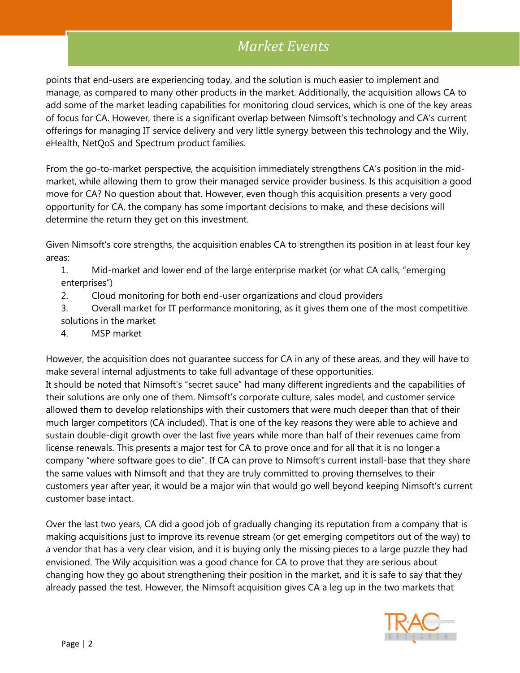points that end-users are experiencing today, and the solution is much easier to implement and manage, as compared to many other products in the market. Additionally, the acquisition allows CA to add some of the market leading capabilities for monitoring cloud services, which is one of the key areas of focus for CA. However, there is a significant overlap between Nimsoft's technology and CA's current offerings for managing IT service delivery and very little synergy between this technology and the Wily, eHealth, NetQoS and Spectrum product families.

From the go-to-market perspective, the acquisition immediately strengthens CA's position in the midmarket, while allowing them to grow their managed service provider business. Is this acquisition a good move for CA? No question about that. However, even though this acquisition presents a very good opportunity for CA, the company has some important decisions to make, and these decisions will determine the return they get on this investment.

Given Nimsoft's core strengths, the acquisition enables CA to strengthen its position in at least four key areas:

1. Mid-market and lower end of the large enterprise market (or what CA calls, "emerging enterprises")

- 2. Cloud monitoring for both end-user organizations and cloud providers
- 3. Overall market for IT performance monitoring, as it gives them one of the most competitive solutions in the market
- 4. MSP market

However, the acquisition does not guarantee success for CA in any of these areas, and they will have to make several internal adjustments to take full advantage of these opportunities.

It should be noted that Nimsoft's "secret sauce" had many different ingredients and the capabilities of their solutions are only one of them. Nimsoft's corporate culture, sales model, and customer service allowed them to develop relationships with their customers that were much deeper than that of their much larger competitors (CA included). That is one of the key reasons they were able to achieve and sustain double-digit growth over the last five years while more than half of their revenues came from license renewals. This presents a major test for CA to prove once and for all that it is no longer a company "where software goes to die". If CA can prove to Nimsoft's current install-base that they share the same values with Nimsoft and that they are truly committed to proving themselves to their customers year after year, it would be a major win that would go well beyond keeping Nimsoft's current customer base intact.

Over the last two years, CA did a good job of gradually changing its reputation from a company that is making acquisitions just to improve its revenue stream (or get emerging competitors out of the way) to a vendor that has a very clear vision, and it is buying only the missing pieces to a large puzzle they had envisioned. The Wily acquisition was a good chance for CA to prove that they are serious about changing how they go about strengthening their position in the market, and it is safe to say that they already passed the test. However, the Nimsoft acquisition gives CA a leg up in the two markets that

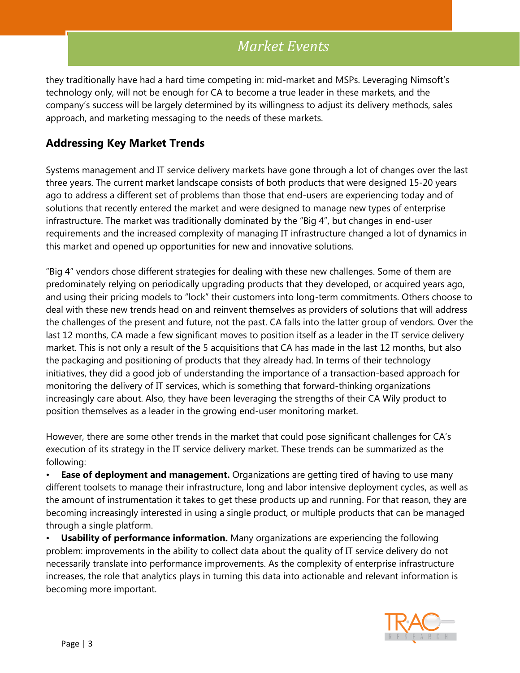they traditionally have had a hard time competing in: mid-market and MSPs. Leveraging Nimsoft's technology only, will not be enough for CA to become a true leader in these markets, and the company's success will be largely determined by its willingness to adjust its delivery methods, sales approach, and marketing messaging to the needs of these markets.

### **Addressing Key Market Trends**

Systems management and IT service delivery markets have gone through a lot of changes over the last three years. The current market landscape consists of both products that were designed 15-20 years ago to address a different set of problems than those that end-users are experiencing today and of solutions that recently entered the market and were designed to manage new types of enterprise infrastructure. The market was traditionally dominated by the "Big 4", but changes in end-user requirements and the increased complexity of managing IT infrastructure changed a lot of dynamics in this market and opened up opportunities for new and innovative solutions.

"Big 4" vendors chose different strategies for dealing with these new challenges. Some of them are predominately relying on periodically upgrading products that they developed, or acquired years ago, and using their pricing models to "lock" their customers into long-term commitments. Others choose to deal with these new trends head on and reinvent themselves as providers of solutions that will address the challenges of the present and future, not the past. CA falls into the latter group of vendors. Over the last 12 months, CA made a few significant moves to position itself as a leader in the IT service delivery market. This is not only a result of the 5 acquisitions that CA has made in the last 12 months, but also the packaging and positioning of products that they already had. In terms of their technology initiatives, they did a good job of understanding the importance of a transaction-based approach for monitoring the delivery of IT services, which is something that forward-thinking organizations increasingly care about. Also, they have been leveraging the strengths of their CA Wily product to position themselves as a leader in the growing end-user monitoring market.

However, there are some other trends in the market that could pose significant challenges for CA's execution of its strategy in the IT service delivery market. These trends can be summarized as the following:

**Ease of deployment and management.** Organizations are getting tired of having to use many different toolsets to manage their infrastructure, long and labor intensive deployment cycles, as well as the amount of instrumentation it takes to get these products up and running. For that reason, they are becoming increasingly interested in using a single product, or multiple products that can be managed through a single platform.

• **Usability of performance information.** Many organizations are experiencing the following problem: improvements in the ability to collect data about the quality of IT service delivery do not necessarily translate into performance improvements. As the complexity of enterprise infrastructure increases, the role that analytics plays in turning this data into actionable and relevant information is becoming more important.

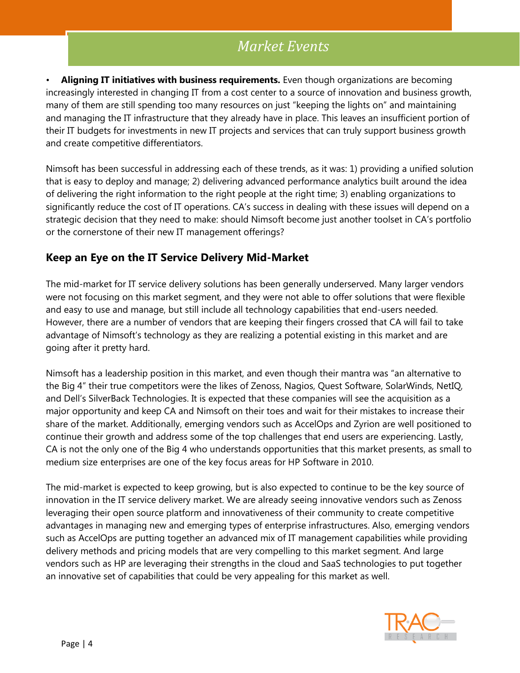• **Aligning IT initiatives with business requirements.** Even though organizations are becoming increasingly interested in changing IT from a cost center to a source of innovation and business growth, many of them are still spending too many resources on just "keeping the lights on" and maintaining and managing the IT infrastructure that they already have in place. This leaves an insufficient portion of their IT budgets for investments in new IT projects and services that can truly support business growth and create competitive differentiators.

Nimsoft has been successful in addressing each of these trends, as it was: 1) providing a unified solution that is easy to deploy and manage; 2) delivering advanced performance analytics built around the idea of delivering the right information to the right people at the right time; 3) enabling organizations to significantly reduce the cost of IT operations. CA's success in dealing with these issues will depend on a strategic decision that they need to make: should Nimsoft become just another toolset in CA's portfolio or the cornerstone of their new IT management offerings?

#### **Keep an Eye on the IT Service Delivery Mid-Market**

The mid-market for IT service delivery solutions has been generally underserved. Many larger vendors were not focusing on this market segment, and they were not able to offer solutions that were flexible and easy to use and manage, but still include all technology capabilities that end-users needed. However, there are a number of vendors that are keeping their fingers crossed that CA will fail to take advantage of Nimsoft's technology as they are realizing a potential existing in this market and are going after it pretty hard.

Nimsoft has a leadership position in this market, and even though their mantra was "an alternative to the Big 4" their true competitors were the likes of Zenoss, Nagios, Quest Software, SolarWinds, NetIQ, and Dell's SilverBack Technologies. It is expected that these companies will see the acquisition as a major opportunity and keep CA and Nimsoft on their toes and wait for their mistakes to increase their share of the market. Additionally, emerging vendors such as AccelOps and Zyrion are well positioned to continue their growth and address some of the top challenges that end users are experiencing. Lastly, CA is not the only one of the Big 4 who understands opportunities that this market presents, as small to medium size enterprises are one of the key focus areas for HP Software in 2010.

The mid-market is expected to keep growing, but is also expected to continue to be the key source of innovation in the IT service delivery market. We are already seeing innovative vendors such as Zenoss leveraging their open source platform and innovativeness of their community to create competitive advantages in managing new and emerging types of enterprise infrastructures. Also, emerging vendors such as AccelOps are putting together an advanced mix of IT management capabilities while providing delivery methods and pricing models that are very compelling to this market segment. And large vendors such as HP are leveraging their strengths in the cloud and SaaS technologies to put together an innovative set of capabilities that could be very appealing for this market as well.